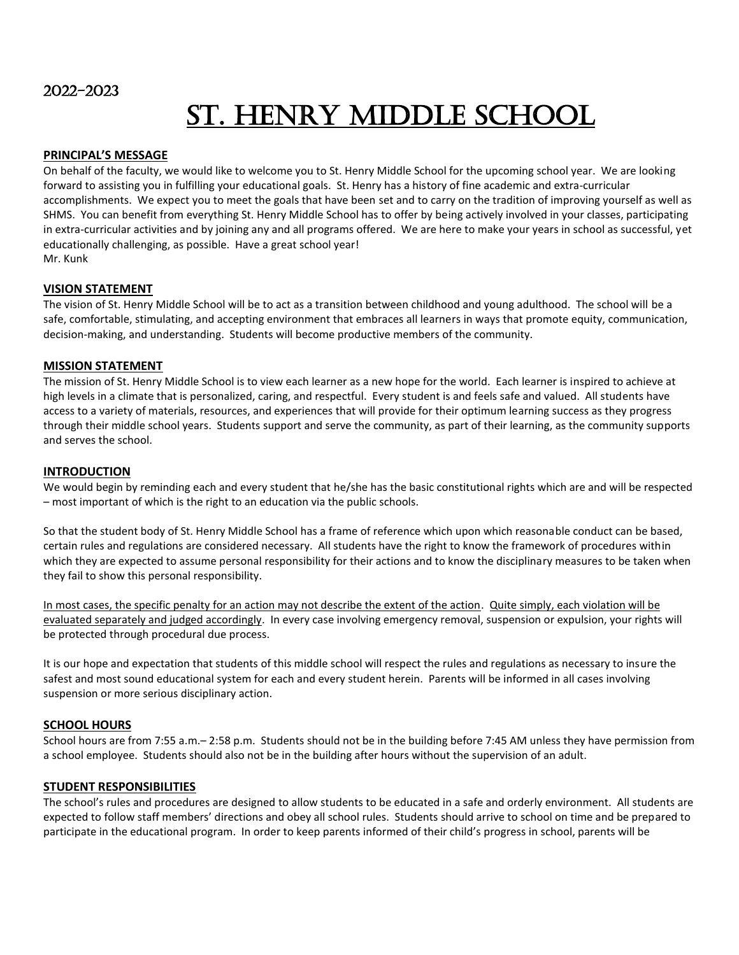# St. Henry Middle School

# **PRINCIPAL'S MESSAGE**

On behalf of the faculty, we would like to welcome you to St. Henry Middle School for the upcoming school year. We are looking forward to assisting you in fulfilling your educational goals. St. Henry has a history of fine academic and extra-curricular accomplishments. We expect you to meet the goals that have been set and to carry on the tradition of improving yourself as well as SHMS. You can benefit from everything St. Henry Middle School has to offer by being actively involved in your classes, participating in extra-curricular activities and by joining any and all programs offered. We are here to make your years in school as successful, yet educationally challenging, as possible. Have a great school year! Mr. Kunk

# **VISION STATEMENT**

The vision of St. Henry Middle School will be to act as a transition between childhood and young adulthood. The school will be a safe, comfortable, stimulating, and accepting environment that embraces all learners in ways that promote equity, communication, decision-making, and understanding. Students will become productive members of the community.

# **MISSION STATEMENT**

The mission of St. Henry Middle School is to view each learner as a new hope for the world. Each learner is inspired to achieve at high levels in a climate that is personalized, caring, and respectful. Every student is and feels safe and valued. All students have access to a variety of materials, resources, and experiences that will provide for their optimum learning success as they progress through their middle school years. Students support and serve the community, as part of their learning, as the community supports and serves the school.

# **INTRODUCTION**

We would begin by reminding each and every student that he/she has the basic constitutional rights which are and will be respected – most important of which is the right to an education via the public schools.

So that the student body of St. Henry Middle School has a frame of reference which upon which reasonable conduct can be based, certain rules and regulations are considered necessary. All students have the right to know the framework of procedures within which they are expected to assume personal responsibility for their actions and to know the disciplinary measures to be taken when they fail to show this personal responsibility.

In most cases, the specific penalty for an action may not describe the extent of the action. Quite simply, each violation will be evaluated separately and judged accordingly. In every case involving emergency removal, suspension or expulsion, your rights will be protected through procedural due process.

It is our hope and expectation that students of this middle school will respect the rules and regulations as necessary to insure the safest and most sound educational system for each and every student herein. Parents will be informed in all cases involving suspension or more serious disciplinary action.

# **SCHOOL HOURS**

School hours are from 7:55 a.m.– 2:58 p.m. Students should not be in the building before 7:45 AM unless they have permission from a school employee. Students should also not be in the building after hours without the supervision of an adult.

# **STUDENT RESPONSIBILITIES**

The school's rules and procedures are designed to allow students to be educated in a safe and orderly environment. All students are expected to follow staff members' directions and obey all school rules. Students should arrive to school on time and be prepared to participate in the educational program. In order to keep parents informed of their child's progress in school, parents will be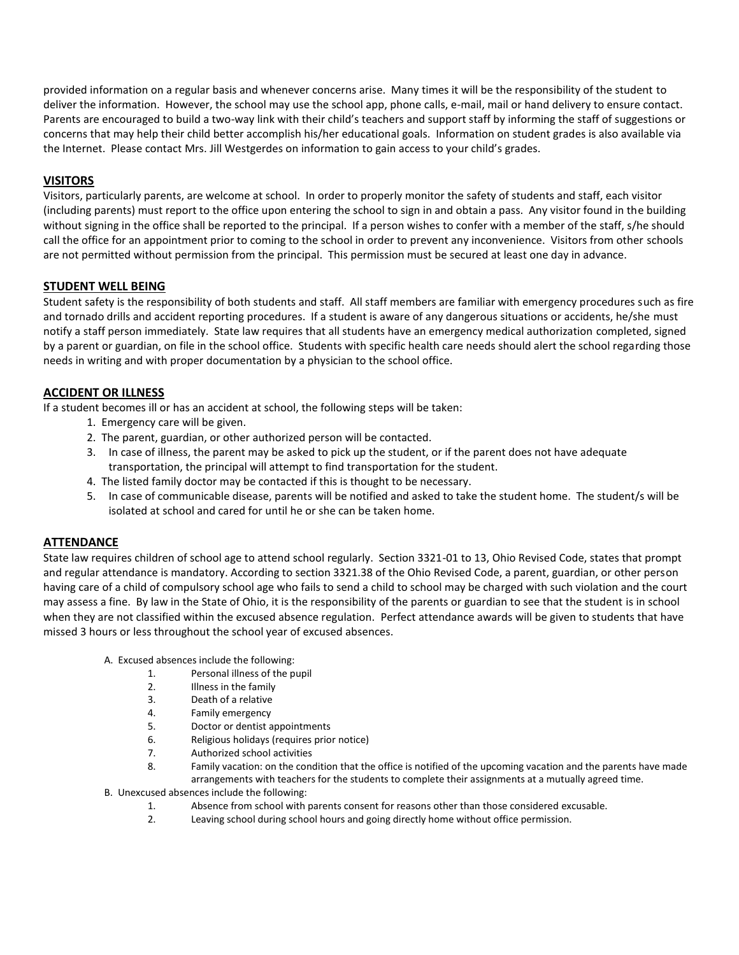provided information on a regular basis and whenever concerns arise. Many times it will be the responsibility of the student to deliver the information. However, the school may use the school app, phone calls, e-mail, mail or hand delivery to ensure contact. Parents are encouraged to build a two-way link with their child's teachers and support staff by informing the staff of suggestions or concerns that may help their child better accomplish his/her educational goals. Information on student grades is also available via the Internet. Please contact Mrs. Jill Westgerdes on information to gain access to your child's grades.

# **VISITORS**

Visitors, particularly parents, are welcome at school. In order to properly monitor the safety of students and staff, each visitor (including parents) must report to the office upon entering the school to sign in and obtain a pass. Any visitor found in the building without signing in the office shall be reported to the principal. If a person wishes to confer with a member of the staff, s/he should call the office for an appointment prior to coming to the school in order to prevent any inconvenience. Visitors from other schools are not permitted without permission from the principal. This permission must be secured at least one day in advance.

# **STUDENT WELL BEING**

Student safety is the responsibility of both students and staff. All staff members are familiar with emergency procedures such as fire and tornado drills and accident reporting procedures. If a student is aware of any dangerous situations or accidents, he/she must notify a staff person immediately. State law requires that all students have an emergency medical authorization completed, signed by a parent or guardian, on file in the school office. Students with specific health care needs should alert the school regarding those needs in writing and with proper documentation by a physician to the school office.

# **ACCIDENT OR ILLNESS**

If a student becomes ill or has an accident at school, the following steps will be taken:

- 1. Emergency care will be given.
- 2. The parent, guardian, or other authorized person will be contacted.
- 3. In case of illness, the parent may be asked to pick up the student, or if the parent does not have adequate transportation, the principal will attempt to find transportation for the student.
- 4. The listed family doctor may be contacted if this is thought to be necessary.
- 5. In case of communicable disease, parents will be notified and asked to take the student home. The student/s will be isolated at school and cared for until he or she can be taken home.

# **ATTENDANCE**

State law requires children of school age to attend school regularly. Section 3321-01 to 13, Ohio Revised Code, states that prompt and regular attendance is mandatory. According to section 3321.38 of the Ohio Revised Code, a parent, guardian, or other person having care of a child of compulsory school age who fails to send a child to school may be charged with such violation and the court may assess a fine. By law in the State of Ohio, it is the responsibility of the parents or guardian to see that the student is in school when they are not classified within the excused absence regulation. Perfect attendance awards will be given to students that have missed 3 hours or less throughout the school year of excused absences.

- A. Excused absences include the following:
	- 1. Personal illness of the pupil
	- 2. Illness in the family
	- 3. Death of a relative
	- 4. Family emergency
	- 5. Doctor or dentist appointments
	- 6. Religious holidays (requires prior notice)
	- 7. Authorized school activities
	- 8. Family vacation: on the condition that the office is notified of the upcoming vacation and the parents have made arrangements with teachers for the students to complete their assignments at a mutually agreed time.
- B. Unexcused absences include the following:
	- 1. Absence from school with parents consent for reasons other than those considered excusable.
	- 2. Leaving school during school hours and going directly home without office permission.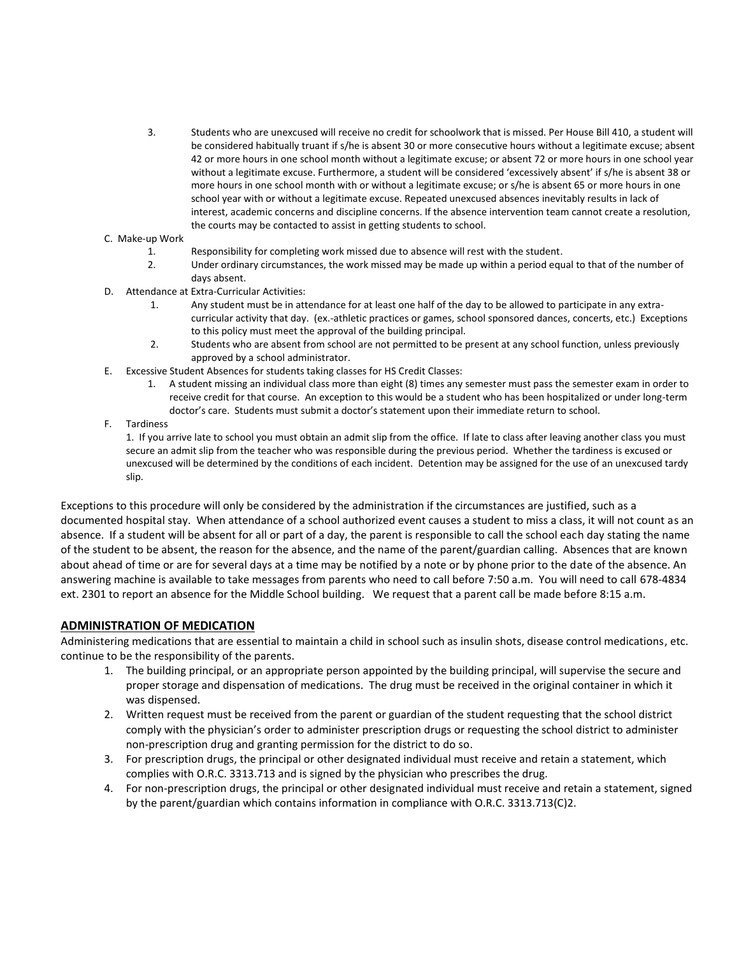- 3. Students who are unexcused will receive no credit for schoolwork that is missed. Per House Bill 410, a student will be considered habitually truant if s/he is absent 30 or more consecutive hours without a legitimate excuse; absent 42 or more hours in one school month without a legitimate excuse; or absent 72 or more hours in one school year without a legitimate excuse. Furthermore, a student will be considered 'excessively absent' if s/he is absent 38 or more hours in one school month with or without a legitimate excuse; or s/he is absent 65 or more hours in one school year with or without a legitimate excuse. Repeated unexcused absences inevitably results in lack of interest, academic concerns and discipline concerns. If the absence intervention team cannot create a resolution, the courts may be contacted to assist in getting students to school.
- C. Make-up Work
	- 1. Responsibility for completing work missed due to absence will rest with the student.
	- 2. Under ordinary circumstances, the work missed may be made up within a period equal to that of the number of days absent.
- D. Attendance at Extra-Curricular Activities:
	- 1. Any student must be in attendance for at least one half of the day to be allowed to participate in any extracurricular activity that day. (ex.-athletic practices or games, school sponsored dances, concerts, etc.) Exceptions to this policy must meet the approval of the building principal.
	- 2. Students who are absent from school are not permitted to be present at any school function, unless previously approved by a school administrator.
- E. Excessive Student Absences for students taking classes for HS Credit Classes:
	- 1. A student missing an individual class more than eight (8) times any semester must pass the semester exam in order to receive credit for that course. An exception to this would be a student who has been hospitalized or under long-term doctor's care. Students must submit a doctor's statement upon their immediate return to school.
- F. Tardiness

1. If you arrive late to school you must obtain an admit slip from the office. If late to class after leaving another class you must secure an admit slip from the teacher who was responsible during the previous period. Whether the tardiness is excused or unexcused will be determined by the conditions of each incident. Detention may be assigned for the use of an unexcused tardy slip.

Exceptions to this procedure will only be considered by the administration if the circumstances are justified, such as a documented hospital stay. When attendance of a school authorized event causes a student to miss a class, it will not count as an absence. If a student will be absent for all or part of a day, the parent is responsible to call the school each day stating the name of the student to be absent, the reason for the absence, and the name of the parent/guardian calling. Absences that are known about ahead of time or are for several days at a time may be notified by a note or by phone prior to the date of the absence. An answering machine is available to take messages from parents who need to call before 7:50 a.m. You will need to call 678-4834 ext. 2301 to report an absence for the Middle School building. We request that a parent call be made before 8:15 a.m.

# **ADMINISTRATION OF MEDICATION**

Administering medications that are essential to maintain a child in school such as insulin shots, disease control medications, etc. continue to be the responsibility of the parents.

- 1. The building principal, or an appropriate person appointed by the building principal, will supervise the secure and proper storage and dispensation of medications. The drug must be received in the original container in which it was dispensed.
- 2. Written request must be received from the parent or guardian of the student requesting that the school district comply with the physician's order to administer prescription drugs or requesting the school district to administer non-prescription drug and granting permission for the district to do so.
- 3. For prescription drugs, the principal or other designated individual must receive and retain a statement, which complies with O.R.C. 3313.713 and is signed by the physician who prescribes the drug.
- 4. For non-prescription drugs, the principal or other designated individual must receive and retain a statement, signed by the parent/guardian which contains information in compliance with O.R.C. 3313.713(C)2.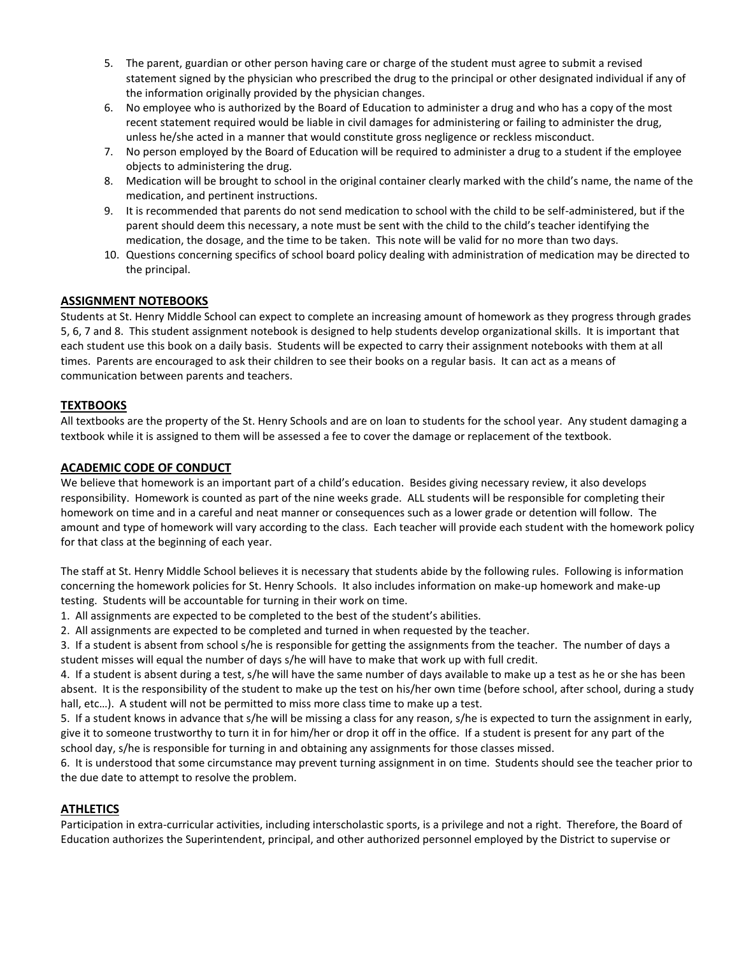- 5. The parent, guardian or other person having care or charge of the student must agree to submit a revised statement signed by the physician who prescribed the drug to the principal or other designated individual if any of the information originally provided by the physician changes.
- 6. No employee who is authorized by the Board of Education to administer a drug and who has a copy of the most recent statement required would be liable in civil damages for administering or failing to administer the drug, unless he/she acted in a manner that would constitute gross negligence or reckless misconduct.
- 7. No person employed by the Board of Education will be required to administer a drug to a student if the employee objects to administering the drug.
- 8. Medication will be brought to school in the original container clearly marked with the child's name, the name of the medication, and pertinent instructions.
- 9. It is recommended that parents do not send medication to school with the child to be self-administered, but if the parent should deem this necessary, a note must be sent with the child to the child's teacher identifying the medication, the dosage, and the time to be taken. This note will be valid for no more than two days.
- 10. Questions concerning specifics of school board policy dealing with administration of medication may be directed to the principal.

# **ASSIGNMENT NOTEBOOKS**

Students at St. Henry Middle School can expect to complete an increasing amount of homework as they progress through grades 5, 6, 7 and 8. This student assignment notebook is designed to help students develop organizational skills. It is important that each student use this book on a daily basis. Students will be expected to carry their assignment notebooks with them at all times. Parents are encouraged to ask their children to see their books on a regular basis. It can act as a means of communication between parents and teachers.

# **TEXTBOOKS**

All textbooks are the property of the St. Henry Schools and are on loan to students for the school year. Any student damaging a textbook while it is assigned to them will be assessed a fee to cover the damage or replacement of the textbook.

# **ACADEMIC CODE OF CONDUCT**

We believe that homework is an important part of a child's education. Besides giving necessary review, it also develops responsibility. Homework is counted as part of the nine weeks grade. ALL students will be responsible for completing their homework on time and in a careful and neat manner or consequences such as a lower grade or detention will follow. The amount and type of homework will vary according to the class. Each teacher will provide each student with the homework policy for that class at the beginning of each year.

The staff at St. Henry Middle School believes it is necessary that students abide by the following rules. Following is information concerning the homework policies for St. Henry Schools. It also includes information on make-up homework and make-up testing. Students will be accountable for turning in their work on time.

- 1. All assignments are expected to be completed to the best of the student's abilities.
- 2. All assignments are expected to be completed and turned in when requested by the teacher.

3. If a student is absent from school s/he is responsible for getting the assignments from the teacher. The number of days a student misses will equal the number of days s/he will have to make that work up with full credit.

4. If a student is absent during a test, s/he will have the same number of days available to make up a test as he or she has been absent. It is the responsibility of the student to make up the test on his/her own time (before school, after school, during a study hall, etc...). A student will not be permitted to miss more class time to make up a test.

5. If a student knows in advance that s/he will be missing a class for any reason, s/he is expected to turn the assignment in early, give it to someone trustworthy to turn it in for him/her or drop it off in the office. If a student is present for any part of the school day, s/he is responsible for turning in and obtaining any assignments for those classes missed.

6. It is understood that some circumstance may prevent turning assignment in on time. Students should see the teacher prior to the due date to attempt to resolve the problem.

# **ATHLETICS**

Participation in extra-curricular activities, including interscholastic sports, is a privilege and not a right. Therefore, the Board of Education authorizes the Superintendent, principal, and other authorized personnel employed by the District to supervise or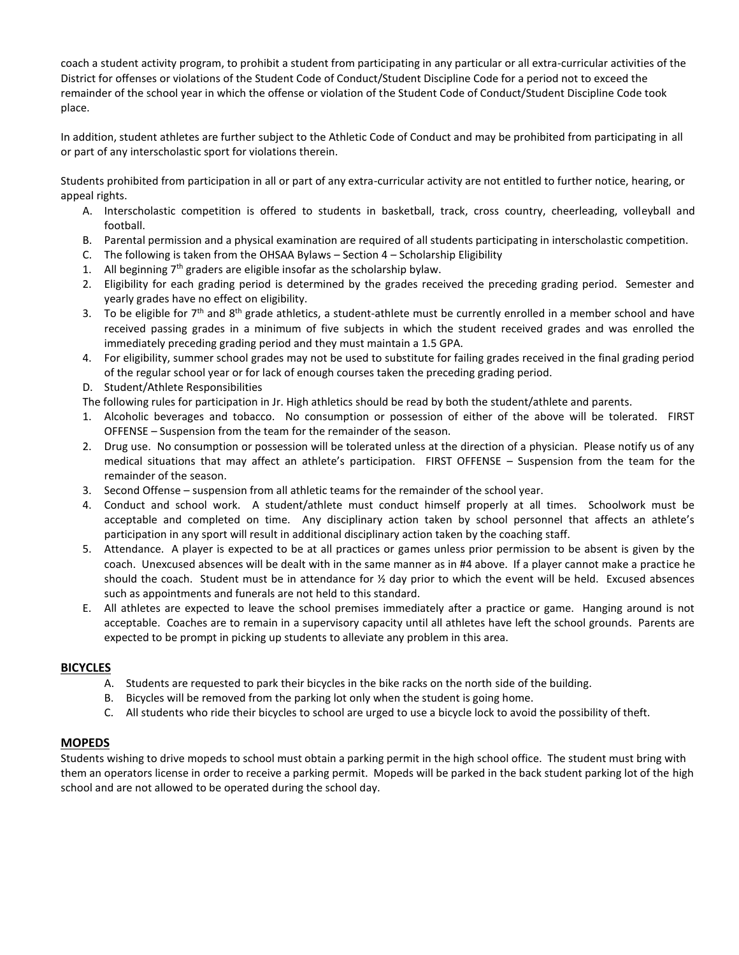coach a student activity program, to prohibit a student from participating in any particular or all extra-curricular activities of the District for offenses or violations of the Student Code of Conduct/Student Discipline Code for a period not to exceed the remainder of the school year in which the offense or violation of the Student Code of Conduct/Student Discipline Code took place.

In addition, student athletes are further subject to the Athletic Code of Conduct and may be prohibited from participating in all or part of any interscholastic sport for violations therein.

Students prohibited from participation in all or part of any extra-curricular activity are not entitled to further notice, hearing, or appeal rights.

- A. Interscholastic competition is offered to students in basketball, track, cross country, cheerleading, volleyball and football.
- B. Parental permission and a physical examination are required of all students participating in interscholastic competition.
- C. The following is taken from the OHSAA Bylaws Section 4 Scholarship Eligibility
- 1. All beginning  $7<sup>th</sup>$  graders are eligible insofar as the scholarship bylaw.
- 2. Eligibility for each grading period is determined by the grades received the preceding grading period. Semester and yearly grades have no effect on eligibility.
- 3. To be eligible for  $7<sup>th</sup>$  and  $8<sup>th</sup>$  grade athletics, a student-athlete must be currently enrolled in a member school and have received passing grades in a minimum of five subjects in which the student received grades and was enrolled the immediately preceding grading period and they must maintain a 1.5 GPA.
- 4. For eligibility, summer school grades may not be used to substitute for failing grades received in the final grading period of the regular school year or for lack of enough courses taken the preceding grading period.
- D. Student/Athlete Responsibilities

The following rules for participation in Jr. High athletics should be read by both the student/athlete and parents.

- 1. Alcoholic beverages and tobacco. No consumption or possession of either of the above will be tolerated. FIRST OFFENSE – Suspension from the team for the remainder of the season.
- 2. Drug use. No consumption or possession will be tolerated unless at the direction of a physician. Please notify us of any medical situations that may affect an athlete's participation. FIRST OFFENSE – Suspension from the team for the remainder of the season.
- 3. Second Offense suspension from all athletic teams for the remainder of the school year.
- 4. Conduct and school work. A student/athlete must conduct himself properly at all times. Schoolwork must be acceptable and completed on time. Any disciplinary action taken by school personnel that affects an athlete's participation in any sport will result in additional disciplinary action taken by the coaching staff.
- 5. Attendance. A player is expected to be at all practices or games unless prior permission to be absent is given by the coach. Unexcused absences will be dealt with in the same manner as in #4 above. If a player cannot make a practice he should the coach. Student must be in attendance for  $\frac{1}{2}$  day prior to which the event will be held. Excused absences such as appointments and funerals are not held to this standard.
- E. All athletes are expected to leave the school premises immediately after a practice or game. Hanging around is not acceptable. Coaches are to remain in a supervisory capacity until all athletes have left the school grounds. Parents are expected to be prompt in picking up students to alleviate any problem in this area.

# **BICYCLES**

- A. Students are requested to park their bicycles in the bike racks on the north side of the building.
- B. Bicycles will be removed from the parking lot only when the student is going home.
- C. All students who ride their bicycles to school are urged to use a bicycle lock to avoid the possibility of theft.

# **MOPEDS**

Students wishing to drive mopeds to school must obtain a parking permit in the high school office. The student must bring with them an operators license in order to receive a parking permit. Mopeds will be parked in the back student parking lot of the high school and are not allowed to be operated during the school day.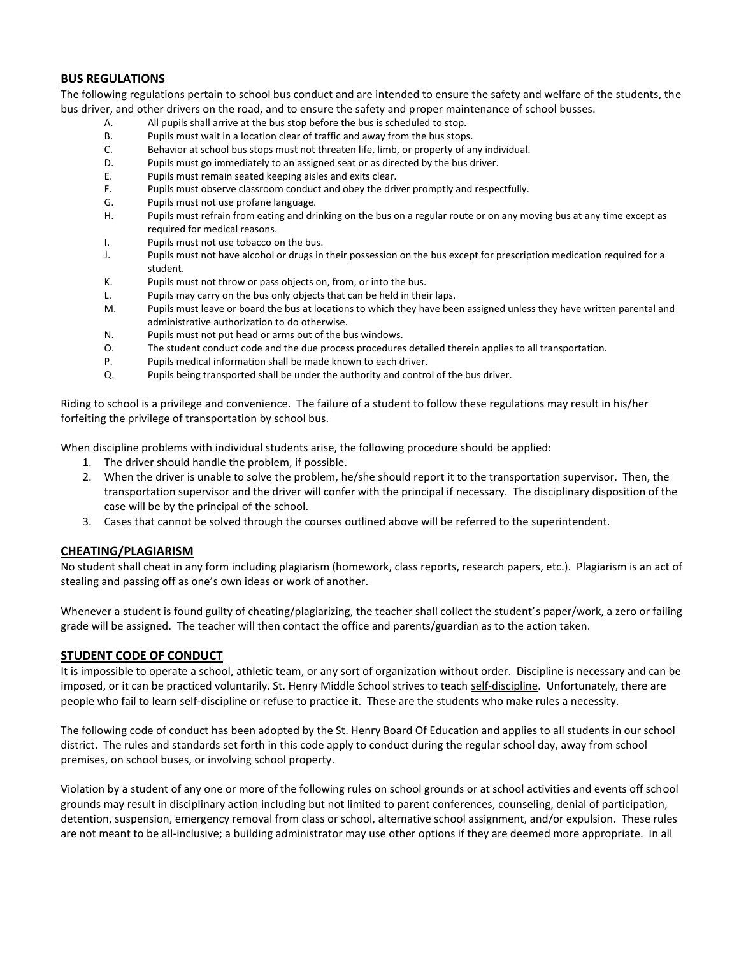# **BUS REGULATIONS**

The following regulations pertain to school bus conduct and are intended to ensure the safety and welfare of the students, the bus driver, and other drivers on the road, and to ensure the safety and proper maintenance of school busses.

- A. All pupils shall arrive at the bus stop before the bus is scheduled to stop.
- B. Pupils must wait in a location clear of traffic and away from the bus stops.
- C. Behavior at school bus stops must not threaten life, limb, or property of any individual.
- D. Pupils must go immediately to an assigned seat or as directed by the bus driver.
- E. Pupils must remain seated keeping aisles and exits clear.
- F. Pupils must observe classroom conduct and obey the driver promptly and respectfully.
- G. Pupils must not use profane language.
- H. Pupils must refrain from eating and drinking on the bus on a regular route or on any moving bus at any time except as required for medical reasons.
- I. Pupils must not use tobacco on the bus.
- J. Pupils must not have alcohol or drugs in their possession on the bus except for prescription medication required for a student.
- K. Pupils must not throw or pass objects on, from, or into the bus.
- L. Pupils may carry on the bus only objects that can be held in their laps.
- M. Pupils must leave or board the bus at locations to which they have been assigned unless they have written parental and administrative authorization to do otherwise.
- N. Pupils must not put head or arms out of the bus windows.
- O. The student conduct code and the due process procedures detailed therein applies to all transportation.
- P. Pupils medical information shall be made known to each driver.
- Q. Pupils being transported shall be under the authority and control of the bus driver.

Riding to school is a privilege and convenience. The failure of a student to follow these regulations may result in his/her forfeiting the privilege of transportation by school bus.

When discipline problems with individual students arise, the following procedure should be applied:

- 1. The driver should handle the problem, if possible.
- 2. When the driver is unable to solve the problem, he/she should report it to the transportation supervisor. Then, the transportation supervisor and the driver will confer with the principal if necessary. The disciplinary disposition of the case will be by the principal of the school.
- 3. Cases that cannot be solved through the courses outlined above will be referred to the superintendent.

# **CHEATING/PLAGIARISM**

No student shall cheat in any form including plagiarism (homework, class reports, research papers, etc.). Plagiarism is an act of stealing and passing off as one's own ideas or work of another.

Whenever a student is found guilty of cheating/plagiarizing, the teacher shall collect the student's paper/work, a zero or failing grade will be assigned. The teacher will then contact the office and parents/guardian as to the action taken.

# **STUDENT CODE OF CONDUCT**

It is impossible to operate a school, athletic team, or any sort of organization without order. Discipline is necessary and can be imposed, or it can be practiced voluntarily. St. Henry Middle School strives to teach self-discipline. Unfortunately, there are people who fail to learn self-discipline or refuse to practice it. These are the students who make rules a necessity.

The following code of conduct has been adopted by the St. Henry Board Of Education and applies to all students in our school district. The rules and standards set forth in this code apply to conduct during the regular school day, away from school premises, on school buses, or involving school property.

Violation by a student of any one or more of the following rules on school grounds or at school activities and events off school grounds may result in disciplinary action including but not limited to parent conferences, counseling, denial of participation, detention, suspension, emergency removal from class or school, alternative school assignment, and/or expulsion. These rules are not meant to be all-inclusive; a building administrator may use other options if they are deemed more appropriate. In all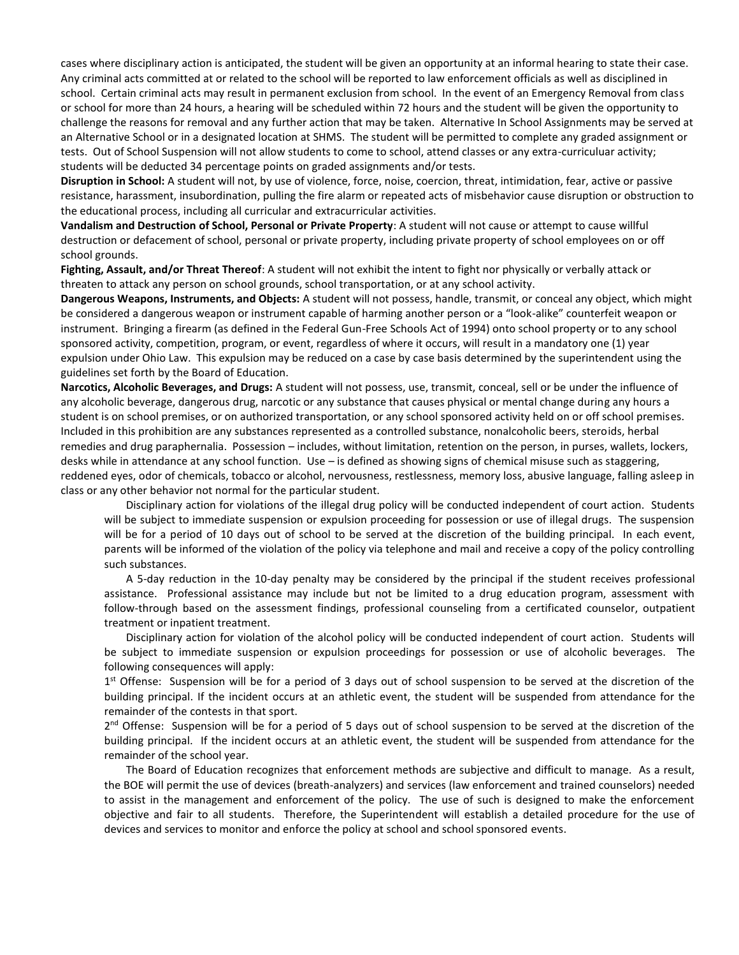cases where disciplinary action is anticipated, the student will be given an opportunity at an informal hearing to state their case. Any criminal acts committed at or related to the school will be reported to law enforcement officials as well as disciplined in school. Certain criminal acts may result in permanent exclusion from school. In the event of an Emergency Removal from class or school for more than 24 hours, a hearing will be scheduled within 72 hours and the student will be given the opportunity to challenge the reasons for removal and any further action that may be taken. Alternative In School Assignments may be served at an Alternative School or in a designated location at SHMS. The student will be permitted to complete any graded assignment or tests. Out of School Suspension will not allow students to come to school, attend classes or any extra-curriculuar activity; students will be deducted 34 percentage points on graded assignments and/or tests.

**Disruption in School:** A student will not, by use of violence, force, noise, coercion, threat, intimidation, fear, active or passive resistance, harassment, insubordination, pulling the fire alarm or repeated acts of misbehavior cause disruption or obstruction to the educational process, including all curricular and extracurricular activities.

**Vandalism and Destruction of School, Personal or Private Property**: A student will not cause or attempt to cause willful destruction or defacement of school, personal or private property, including private property of school employees on or off school grounds.

**Fighting, Assault, and/or Threat Thereof**: A student will not exhibit the intent to fight nor physically or verbally attack or threaten to attack any person on school grounds, school transportation, or at any school activity.

**Dangerous Weapons, Instruments, and Objects:** A student will not possess, handle, transmit, or conceal any object, which might be considered a dangerous weapon or instrument capable of harming another person or a "look-alike" counterfeit weapon or instrument. Bringing a firearm (as defined in the Federal Gun-Free Schools Act of 1994) onto school property or to any school sponsored activity, competition, program, or event, regardless of where it occurs, will result in a mandatory one (1) year expulsion under Ohio Law. This expulsion may be reduced on a case by case basis determined by the superintendent using the guidelines set forth by the Board of Education.

**Narcotics, Alcoholic Beverages, and Drugs:** A student will not possess, use, transmit, conceal, sell or be under the influence of any alcoholic beverage, dangerous drug, narcotic or any substance that causes physical or mental change during any hours a student is on school premises, or on authorized transportation, or any school sponsored activity held on or off school premises. Included in this prohibition are any substances represented as a controlled substance, nonalcoholic beers, steroids, herbal remedies and drug paraphernalia. Possession – includes, without limitation, retention on the person, in purses, wallets, lockers, desks while in attendance at any school function. Use – is defined as showing signs of chemical misuse such as staggering, reddened eyes, odor of chemicals, tobacco or alcohol, nervousness, restlessness, memory loss, abusive language, falling asleep in class or any other behavior not normal for the particular student.

Disciplinary action for violations of the illegal drug policy will be conducted independent of court action. Students will be subject to immediate suspension or expulsion proceeding for possession or use of illegal drugs. The suspension will be for a period of 10 days out of school to be served at the discretion of the building principal. In each event, parents will be informed of the violation of the policy via telephone and mail and receive a copy of the policy controlling such substances.

A 5-day reduction in the 10-day penalty may be considered by the principal if the student receives professional assistance. Professional assistance may include but not be limited to a drug education program, assessment with follow-through based on the assessment findings, professional counseling from a certificated counselor, outpatient treatment or inpatient treatment.

Disciplinary action for violation of the alcohol policy will be conducted independent of court action. Students will be subject to immediate suspension or expulsion proceedings for possession or use of alcoholic beverages. The following consequences will apply:

1<sup>st</sup> Offense: Suspension will be for a period of 3 days out of school suspension to be served at the discretion of the building principal. If the incident occurs at an athletic event, the student will be suspended from attendance for the remainder of the contests in that sport.

2<sup>nd</sup> Offense: Suspension will be for a period of 5 days out of school suspension to be served at the discretion of the building principal. If the incident occurs at an athletic event, the student will be suspended from attendance for the remainder of the school year.

The Board of Education recognizes that enforcement methods are subjective and difficult to manage. As a result, the BOE will permit the use of devices (breath-analyzers) and services (law enforcement and trained counselors) needed to assist in the management and enforcement of the policy. The use of such is designed to make the enforcement objective and fair to all students. Therefore, the Superintendent will establish a detailed procedure for the use of devices and services to monitor and enforce the policy at school and school sponsored events.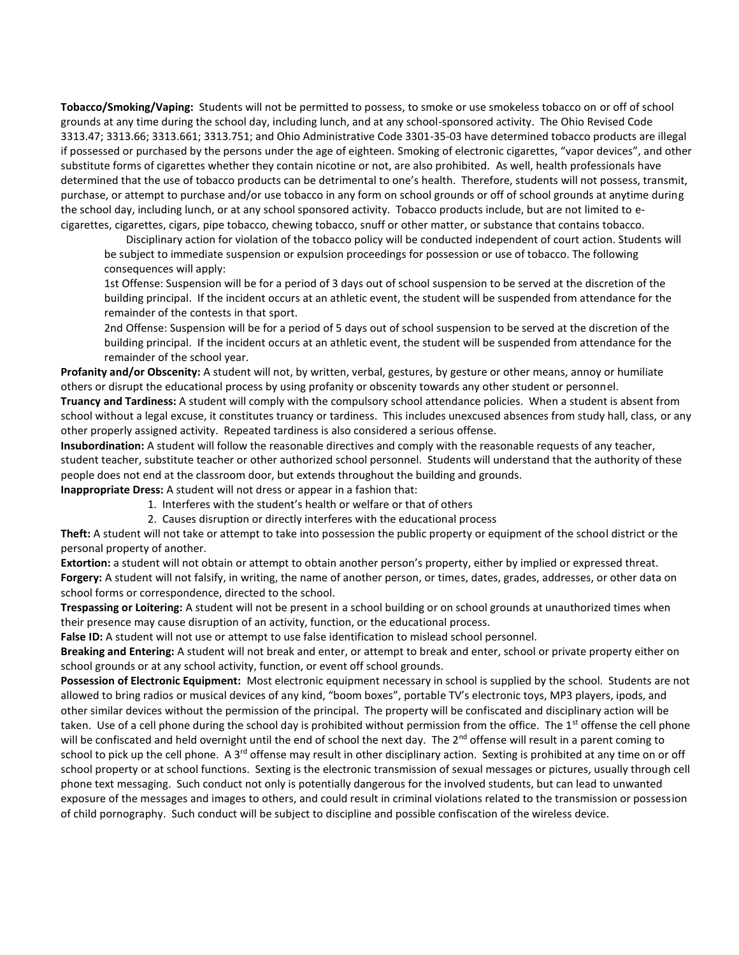**Tobacco/Smoking/Vaping:** Students will not be permitted to possess, to smoke or use smokeless tobacco on or off of school grounds at any time during the school day, including lunch, and at any school-sponsored activity. The Ohio Revised Code 3313.47; 3313.66; 3313.661; 3313.751; and Ohio Administrative Code 3301-35-03 have determined tobacco products are illegal if possessed or purchased by the persons under the age of eighteen. Smoking of electronic cigarettes, "vapor devices", and other substitute forms of cigarettes whether they contain nicotine or not, are also prohibited. As well, health professionals have determined that the use of tobacco products can be detrimental to one's health. Therefore, students will not possess, transmit, purchase, or attempt to purchase and/or use tobacco in any form on school grounds or off of school grounds at anytime during the school day, including lunch, or at any school sponsored activity. Tobacco products include, but are not limited to ecigarettes, cigarettes, cigars, pipe tobacco, chewing tobacco, snuff or other matter, or substance that contains tobacco.

Disciplinary action for violation of the tobacco policy will be conducted independent of court action. Students will be subject to immediate suspension or expulsion proceedings for possession or use of tobacco. The following consequences will apply:

1st Offense: Suspension will be for a period of 3 days out of school suspension to be served at the discretion of the building principal. If the incident occurs at an athletic event, the student will be suspended from attendance for the remainder of the contests in that sport.

2nd Offense: Suspension will be for a period of 5 days out of school suspension to be served at the discretion of the building principal. If the incident occurs at an athletic event, the student will be suspended from attendance for the remainder of the school year.

**Profanity and/or Obscenity:** A student will not, by written, verbal, gestures, by gesture or other means, annoy or humiliate others or disrupt the educational process by using profanity or obscenity towards any other student or personnel. **Truancy and Tardiness:** A student will comply with the compulsory school attendance policies. When a student is absent from

school without a legal excuse, it constitutes truancy or tardiness. This includes unexcused absences from study hall, class, or any other properly assigned activity. Repeated tardiness is also considered a serious offense.

**Insubordination:** A student will follow the reasonable directives and comply with the reasonable requests of any teacher, student teacher, substitute teacher or other authorized school personnel. Students will understand that the authority of these people does not end at the classroom door, but extends throughout the building and grounds.

**Inappropriate Dress:** A student will not dress or appear in a fashion that:

- 1. Interferes with the student's health or welfare or that of others
- 2. Causes disruption or directly interferes with the educational process

**Theft:** A student will not take or attempt to take into possession the public property or equipment of the school district or the personal property of another.

**Extortion:** a student will not obtain or attempt to obtain another person's property, either by implied or expressed threat. **Forgery:** A student will not falsify, in writing, the name of another person, or times, dates, grades, addresses, or other data on school forms or correspondence, directed to the school.

**Trespassing or Loitering:** A student will not be present in a school building or on school grounds at unauthorized times when their presence may cause disruption of an activity, function, or the educational process.

**False ID:** A student will not use or attempt to use false identification to mislead school personnel.

**Breaking and Entering:** A student will not break and enter, or attempt to break and enter, school or private property either on school grounds or at any school activity, function, or event off school grounds.

**Possession of Electronic Equipment:** Most electronic equipment necessary in school is supplied by the school. Students are not allowed to bring radios or musical devices of any kind, "boom boxes", portable TV's electronic toys, MP3 players, ipods, and other similar devices without the permission of the principal. The property will be confiscated and disciplinary action will be taken. Use of a cell phone during the school day is prohibited without permission from the office. The  $1<sup>st</sup>$  offense the cell phone will be confiscated and held overnight until the end of school the next day. The 2<sup>nd</sup> offense will result in a parent coming to school to pick up the cell phone. A 3<sup>rd</sup> offense may result in other disciplinary action. Sexting is prohibited at any time on or off school property or at school functions. Sexting is the electronic transmission of sexual messages or pictures, usually through cell phone text messaging. Such conduct not only is potentially dangerous for the involved students, but can lead to unwanted exposure of the messages and images to others, and could result in criminal violations related to the transmission or possession of child pornography. Such conduct will be subject to discipline and possible confiscation of the wireless device.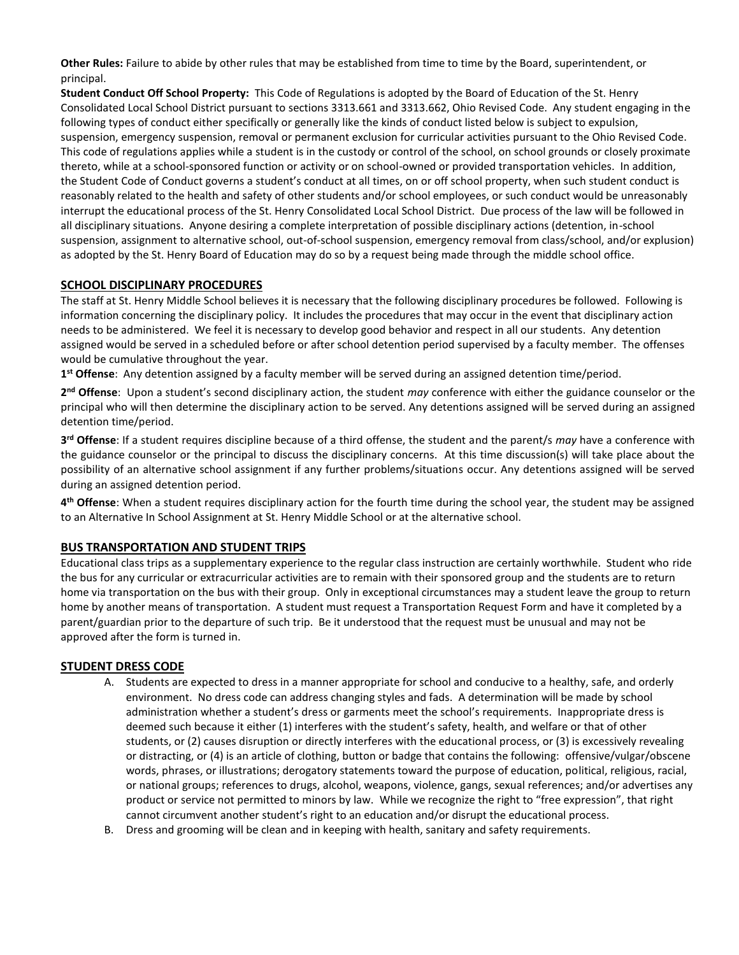**Other Rules:** Failure to abide by other rules that may be established from time to time by the Board, superintendent, or principal.

**Student Conduct Off School Property:** This Code of Regulations is adopted by the Board of Education of the St. Henry Consolidated Local School District pursuant to sections 3313.661 and 3313.662, Ohio Revised Code. Any student engaging in the following types of conduct either specifically or generally like the kinds of conduct listed below is subject to expulsion, suspension, emergency suspension, removal or permanent exclusion for curricular activities pursuant to the Ohio Revised Code. This code of regulations applies while a student is in the custody or control of the school, on school grounds or closely proximate thereto, while at a school-sponsored function or activity or on school-owned or provided transportation vehicles. In addition, the Student Code of Conduct governs a student's conduct at all times, on or off school property, when such student conduct is reasonably related to the health and safety of other students and/or school employees, or such conduct would be unreasonably interrupt the educational process of the St. Henry Consolidated Local School District. Due process of the law will be followed in all disciplinary situations. Anyone desiring a complete interpretation of possible disciplinary actions (detention, in-school suspension, assignment to alternative school, out-of-school suspension, emergency removal from class/school, and/or explusion) as adopted by the St. Henry Board of Education may do so by a request being made through the middle school office.

# **SCHOOL DISCIPLINARY PROCEDURES**

The staff at St. Henry Middle School believes it is necessary that the following disciplinary procedures be followed. Following is information concerning the disciplinary policy. It includes the procedures that may occur in the event that disciplinary action needs to be administered. We feel it is necessary to develop good behavior and respect in all our students. Any detention assigned would be served in a scheduled before or after school detention period supervised by a faculty member. The offenses would be cumulative throughout the year.

**1 st Offense**: Any detention assigned by a faculty member will be served during an assigned detention time/period.

**2 nd Offense**: Upon a student's second disciplinary action, the student *may* conference with either the guidance counselor or the principal who will then determine the disciplinary action to be served. Any detentions assigned will be served during an assigned detention time/period.

**3 rd Offense**: If a student requires discipline because of a third offense, the student and the parent/s *may* have a conference with the guidance counselor or the principal to discuss the disciplinary concerns. At this time discussion(s) will take place about the possibility of an alternative school assignment if any further problems/situations occur. Any detentions assigned will be served during an assigned detention period.

**4 th Offense**: When a student requires disciplinary action for the fourth time during the school year, the student may be assigned to an Alternative In School Assignment at St. Henry Middle School or at the alternative school.

# **BUS TRANSPORTATION AND STUDENT TRIPS**

Educational class trips as a supplementary experience to the regular class instruction are certainly worthwhile. Student who ride the bus for any curricular or extracurricular activities are to remain with their sponsored group and the students are to return home via transportation on the bus with their group. Only in exceptional circumstances may a student leave the group to return home by another means of transportation. A student must request a Transportation Request Form and have it completed by a parent/guardian prior to the departure of such trip. Be it understood that the request must be unusual and may not be approved after the form is turned in.

# **STUDENT DRESS CODE**

- A. Students are expected to dress in a manner appropriate for school and conducive to a healthy, safe, and orderly environment. No dress code can address changing styles and fads. A determination will be made by school administration whether a student's dress or garments meet the school's requirements. Inappropriate dress is deemed such because it either (1) interferes with the student's safety, health, and welfare or that of other students, or (2) causes disruption or directly interferes with the educational process, or (3) is excessively revealing or distracting, or (4) is an article of clothing, button or badge that contains the following: offensive/vulgar/obscene words, phrases, or illustrations; derogatory statements toward the purpose of education, political, religious, racial, or national groups; references to drugs, alcohol, weapons, violence, gangs, sexual references; and/or advertises any product or service not permitted to minors by law. While we recognize the right to "free expression", that right cannot circumvent another student's right to an education and/or disrupt the educational process.
- B. Dress and grooming will be clean and in keeping with health, sanitary and safety requirements.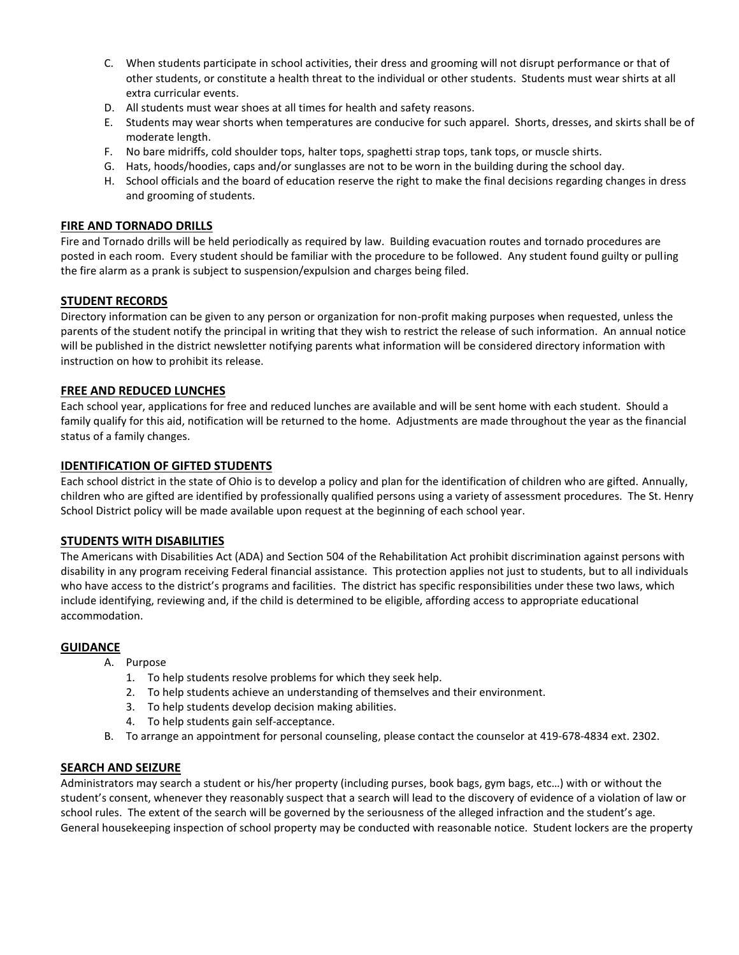- C. When students participate in school activities, their dress and grooming will not disrupt performance or that of other students, or constitute a health threat to the individual or other students. Students must wear shirts at all extra curricular events.
- D. All students must wear shoes at all times for health and safety reasons.
- E. Students may wear shorts when temperatures are conducive for such apparel. Shorts, dresses, and skirts shall be of moderate length.
- F. No bare midriffs, cold shoulder tops, halter tops, spaghetti strap tops, tank tops, or muscle shirts.
- G. Hats, hoods/hoodies, caps and/or sunglasses are not to be worn in the building during the school day.
- H. School officials and the board of education reserve the right to make the final decisions regarding changes in dress and grooming of students.

# **FIRE AND TORNADO DRILLS**

Fire and Tornado drills will be held periodically as required by law. Building evacuation routes and tornado procedures are posted in each room. Every student should be familiar with the procedure to be followed. Any student found guilty or pulling the fire alarm as a prank is subject to suspension/expulsion and charges being filed.

# **STUDENT RECORDS**

Directory information can be given to any person or organization for non-profit making purposes when requested, unless the parents of the student notify the principal in writing that they wish to restrict the release of such information. An annual notice will be published in the district newsletter notifying parents what information will be considered directory information with instruction on how to prohibit its release.

# **FREE AND REDUCED LUNCHES**

Each school year, applications for free and reduced lunches are available and will be sent home with each student. Should a family qualify for this aid, notification will be returned to the home. Adjustments are made throughout the year as the financial status of a family changes.

# **IDENTIFICATION OF GIFTED STUDENTS**

Each school district in the state of Ohio is to develop a policy and plan for the identification of children who are gifted. Annually, children who are gifted are identified by professionally qualified persons using a variety of assessment procedures. The St. Henry School District policy will be made available upon request at the beginning of each school year.

# **STUDENTS WITH DISABILITIES**

The Americans with Disabilities Act (ADA) and Section 504 of the Rehabilitation Act prohibit discrimination against persons with disability in any program receiving Federal financial assistance. This protection applies not just to students, but to all individuals who have access to the district's programs and facilities. The district has specific responsibilities under these two laws, which include identifying, reviewing and, if the child is determined to be eligible, affording access to appropriate educational accommodation.

# **GUIDANCE**

- A. Purpose
	- 1. To help students resolve problems for which they seek help.
	- 2. To help students achieve an understanding of themselves and their environment.
	- 3. To help students develop decision making abilities.
	- 4. To help students gain self-acceptance.
- B. To arrange an appointment for personal counseling, please contact the counselor at 419-678-4834 ext. 2302.

# **SEARCH AND SEIZURE**

Administrators may search a student or his/her property (including purses, book bags, gym bags, etc…) with or without the student's consent, whenever they reasonably suspect that a search will lead to the discovery of evidence of a violation of law or school rules. The extent of the search will be governed by the seriousness of the alleged infraction and the student's age. General housekeeping inspection of school property may be conducted with reasonable notice. Student lockers are the property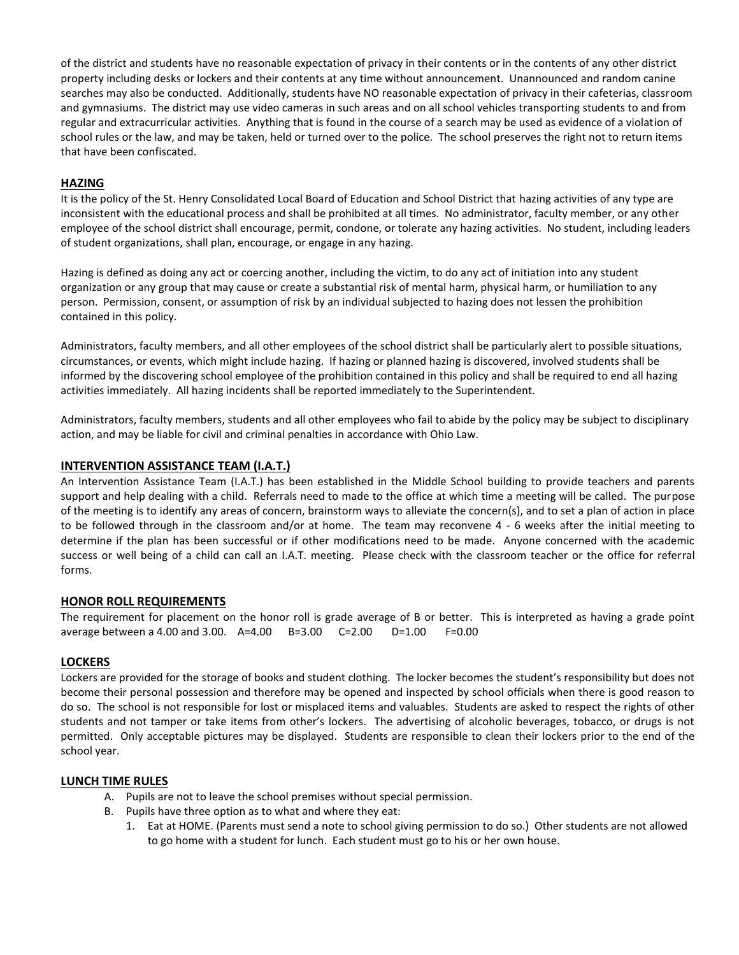of the district and students have no reasonable expectation of privacy in their contents or in the contents of any other district property including desks or lockers and their contents at any time without announcement. Unannounced and random canine searches may also be conducted. Additionally, students have NO reasonable expectation of privacy in their cafeterias, classroom and gymnasiums. The district may use video cameras in such areas and on all school vehicles transporting students to and from regular and extracurricular activities. Anything that is found in the course of a search may be used as evidence of a violation of school rules or the law, and may be taken, held or turned over to the police. The school preserves the right not to return items that have been confiscated.

# **HAZING**

It is the policy of the St. Henry Consolidated Local Board of Education and School District that hazing activities of any type are inconsistent with the educational process and shall be prohibited at all times. No administrator, faculty member, or any other employee of the school district shall encourage, permit, condone, or tolerate any hazing activities. No student, including leaders of student organizations, shall plan, encourage, or engage in any hazing.

Hazing is defined as doing any act or coercing another, including the victim, to do any act of initiation into any student organization or any group that may cause or create a substantial risk of mental harm, physical harm, or humiliation to any person. Permission, consent, or assumption of risk by an individual subjected to hazing does not lessen the prohibition contained in this policy.

Administrators, faculty members, and all other employees of the school district shall be particularly alert to possible situations, circumstances, or events, which might include hazing. If hazing or planned hazing is discovered, involved students shall be informed by the discovering school employee of the prohibition contained in this policy and shall be required to end all hazing activities immediately. All hazing incidents shall be reported immediately to the Superintendent.

Administrators, faculty members, students and all other employees who fail to abide by the policy may be subject to disciplinary action, and may be liable for civil and criminal penalties in accordance with Ohio Law.

# **INTERVENTION ASSISTANCE TEAM (I.A.T.)**

An Intervention Assistance Team (I.A.T.) has been established in the Middle School building to provide teachers and parents support and help dealing with a child. Referrals need to made to the office at which time a meeting will be called. The purpose of the meeting is to identify any areas of concern, brainstorm ways to alleviate the concern(s), and to set a plan of action in place to be followed through in the classroom and/or at home. The team may reconvene 4 - 6 weeks after the initial meeting to determine if the plan has been successful or if other modifications need to be made. Anyone concerned with the academic success or well being of a child can call an I.A.T. meeting. Please check with the classroom teacher or the office for referral forms.

# **HONOR ROLL REQUIREMENTS**

The requirement for placement on the honor roll is grade average of B or better. This is interpreted as having a grade point average between a 4.00 and 3.00. A=4.00 B=3.00 C=2.00 D=1.00 F=0.00

# **LOCKERS**

Lockers are provided for the storage of books and student clothing. The locker becomes the student's responsibility but does not become their personal possession and therefore may be opened and inspected by school officials when there is good reason to do so. The school is not responsible for lost or misplaced items and valuables. Students are asked to respect the rights of other students and not tamper or take items from other's lockers. The advertising of alcoholic beverages, tobacco, or drugs is not permitted. Only acceptable pictures may be displayed. Students are responsible to clean their lockers prior to the end of the school year.

# **LUNCH TIME RULES**

- A. Pupils are not to leave the school premises without special permission.
- B. Pupils have three option as to what and where they eat:
	- 1. Eat at HOME. (Parents must send a note to school giving permission to do so.) Other students are not allowed to go home with a student for lunch. Each student must go to his or her own house.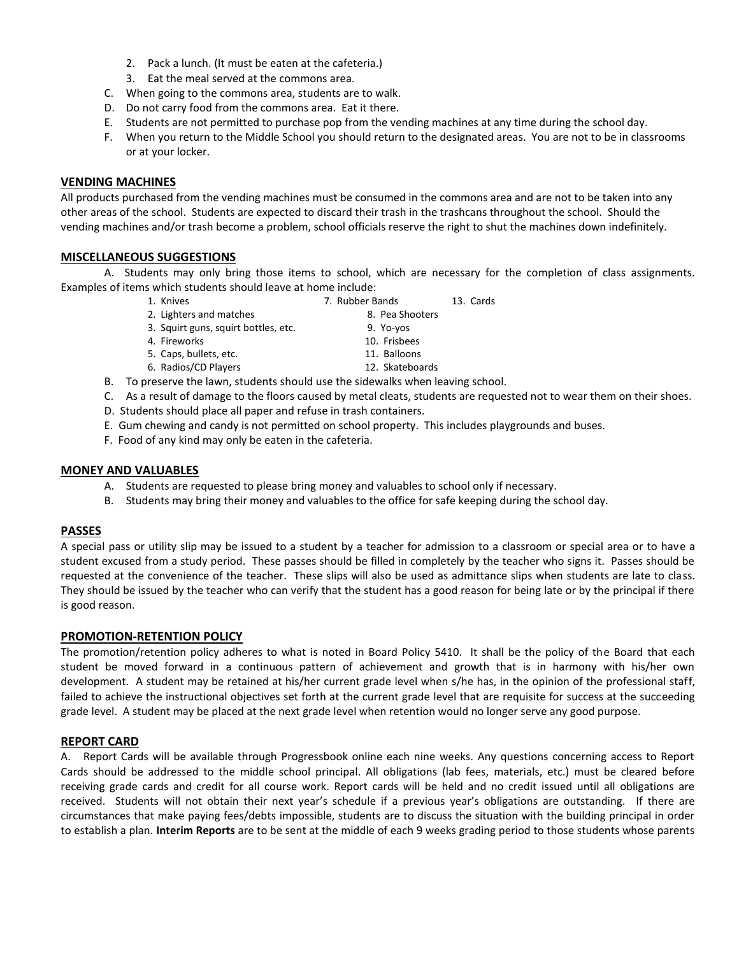- 2. Pack a lunch. (It must be eaten at the cafeteria.)
- 3. Eat the meal served at the commons area.
- C. When going to the commons area, students are to walk.
- D. Do not carry food from the commons area. Eat it there.
- E. Students are not permitted to purchase pop from the vending machines at any time during the school day.
- F. When you return to the Middle School you should return to the designated areas. You are not to be in classrooms or at your locker.

# **VENDING MACHINES**

All products purchased from the vending machines must be consumed in the commons area and are not to be taken into any other areas of the school. Students are expected to discard their trash in the trashcans throughout the school. Should the vending machines and/or trash become a problem, school officials reserve the right to shut the machines down indefinitely.

# **MISCELLANEOUS SUGGESTIONS**

A. Students may only bring those items to school, which are necessary for the completion of class assignments. Examples of items which students should leave at home include:

- 
- 1. Knives 7. Rubber Bands 13. Cards
- 2. Lighters and matches 8. Pea Shooters
- 3. Squirt guns, squirt bottles, etc. 9. Yo-yos
- 4. Fireworks 10. Frisbees
- 5. Caps, bullets, etc. 11. Balloons
	-
- 6. Radios/CD Players 12. Skateboards

- B. To preserve the lawn, students should use the sidewalks when leaving school.
- C. As a result of damage to the floors caused by metal cleats, students are requested not to wear them on their shoes.
- D. Students should place all paper and refuse in trash containers.
- E. Gum chewing and candy is not permitted on school property. This includes playgrounds and buses.
- F. Food of any kind may only be eaten in the cafeteria.

#### **MONEY AND VALUABLES**

- A. Students are requested to please bring money and valuables to school only if necessary.
- B. Students may bring their money and valuables to the office for safe keeping during the school day.

# **PASSES**

A special pass or utility slip may be issued to a student by a teacher for admission to a classroom or special area or to have a student excused from a study period. These passes should be filled in completely by the teacher who signs it. Passes should be requested at the convenience of the teacher. These slips will also be used as admittance slips when students are late to class. They should be issued by the teacher who can verify that the student has a good reason for being late or by the principal if there is good reason.

# **PROMOTION-RETENTION POLICY**

The promotion/retention policy adheres to what is noted in Board Policy 5410. It shall be the policy of the Board that each student be moved forward in a continuous pattern of achievement and growth that is in harmony with his/her own development. A student may be retained at his/her current grade level when s/he has, in the opinion of the professional staff, failed to achieve the instructional objectives set forth at the current grade level that are requisite for success at the succeeding grade level. A student may be placed at the next grade level when retention would no longer serve any good purpose.

# **REPORT CARD**

A. Report Cards will be available through Progressbook online each nine weeks. Any questions concerning access to Report Cards should be addressed to the middle school principal. All obligations (lab fees, materials, etc.) must be cleared before receiving grade cards and credit for all course work. Report cards will be held and no credit issued until all obligations are received. Students will not obtain their next year's schedule if a previous year's obligations are outstanding.If there are circumstances that make paying fees/debts impossible, students are to discuss the situation with the building principal in order to establish a plan. **Interim Reports** are to be sent at the middle of each 9 weeks grading period to those students whose parents

- 
- 
- 
- 
-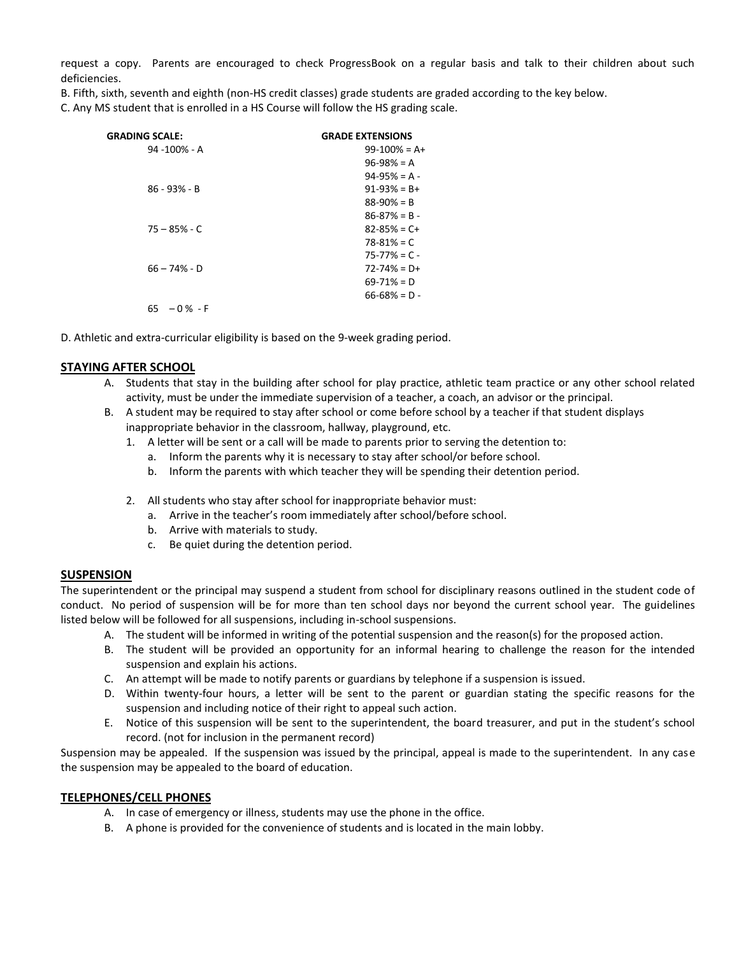request a copy. Parents are encouraged to check ProgressBook on a regular basis and talk to their children about such deficiencies.

B. Fifth, sixth, seventh and eighth (non-HS credit classes) grade students are graded according to the key below.

C. Any MS student that is enrolled in a HS Course will follow the HS grading scale.

| <b>GRADING SCALE:</b> | <b>GRADE EXTENSIONS</b> |
|-----------------------|-------------------------|
| 94 -100% - A          | $99-100% = A+$          |
|                       | $96 - 98\% = A$         |
|                       | $94-95% = A -$          |
| $86 - 93% - B$        | $91-93% = B+$           |
|                       | $88 - 90\% = B$         |
|                       | $86 - 87% = B -$        |
| $75 - 85\% - C$       | $82 - 85\% = C +$       |
|                       | $78 - 81\% = C$         |
|                       | $75 - 77\% = C -$       |
| $66 - 74% - D$        | $72 - 74\% = D +$       |
|                       | $69 - 71\% = D$         |
|                       | $66 - 68\% = D -$       |
| $-0\%$ - F<br>65      |                         |

D. Athletic and extra-curricular eligibility is based on the 9-week grading period.

# **STAYING AFTER SCHOOL**

- A. Students that stay in the building after school for play practice, athletic team practice or any other school related activity, must be under the immediate supervision of a teacher, a coach, an advisor or the principal.
- B. A student may be required to stay after school or come before school by a teacher if that student displays inappropriate behavior in the classroom, hallway, playground, etc.
	- 1. A letter will be sent or a call will be made to parents prior to serving the detention to:
		- a. Inform the parents why it is necessary to stay after school/or before school.
		- b. Inform the parents with which teacher they will be spending their detention period.
	- 2. All students who stay after school for inappropriate behavior must:
		- a. Arrive in the teacher's room immediately after school/before school.
		- b. Arrive with materials to study.
		- c. Be quiet during the detention period.

# **SUSPENSION**

The superintendent or the principal may suspend a student from school for disciplinary reasons outlined in the student code of conduct. No period of suspension will be for more than ten school days nor beyond the current school year. The guidelines listed below will be followed for all suspensions, including in-school suspensions.

- A. The student will be informed in writing of the potential suspension and the reason(s) for the proposed action.
- B. The student will be provided an opportunity for an informal hearing to challenge the reason for the intended suspension and explain his actions.
- C. An attempt will be made to notify parents or guardians by telephone if a suspension is issued.
- D. Within twenty-four hours, a letter will be sent to the parent or guardian stating the specific reasons for the suspension and including notice of their right to appeal such action.
- E. Notice of this suspension will be sent to the superintendent, the board treasurer, and put in the student's school record. (not for inclusion in the permanent record)

Suspension may be appealed. If the suspension was issued by the principal, appeal is made to the superintendent. In any case the suspension may be appealed to the board of education.

# **TELEPHONES/CELL PHONES**

- A. In case of emergency or illness, students may use the phone in the office.
- B. A phone is provided for the convenience of students and is located in the main lobby.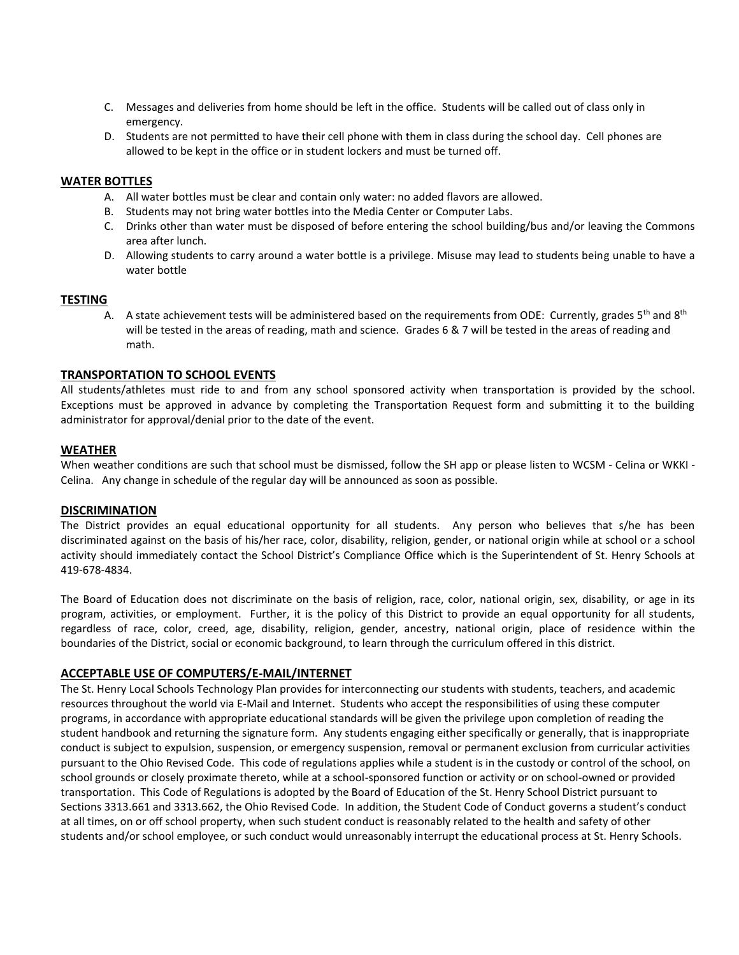- C. Messages and deliveries from home should be left in the office. Students will be called out of class only in emergency.
- D. Students are not permitted to have their cell phone with them in class during the school day. Cell phones are allowed to be kept in the office or in student lockers and must be turned off.

#### **WATER BOTTLES**

- A. All water bottles must be clear and contain only water: no added flavors are allowed.
- B. Students may not bring water bottles into the Media Center or Computer Labs.
- C. Drinks other than water must be disposed of before entering the school building/bus and/or leaving the Commons area after lunch.
- D. Allowing students to carry around a water bottle is a privilege. Misuse may lead to students being unable to have a water bottle

#### **TESTING**

A. A state achievement tests will be administered based on the requirements from ODE: Currently, grades  $5<sup>th</sup>$  and  $8<sup>th</sup>$ will be tested in the areas of reading, math and science. Grades 6 & 7 will be tested in the areas of reading and math.

#### **TRANSPORTATION TO SCHOOL EVENTS**

All students/athletes must ride to and from any school sponsored activity when transportation is provided by the school. Exceptions must be approved in advance by completing the Transportation Request form and submitting it to the building administrator for approval/denial prior to the date of the event.

#### **WEATHER**

When weather conditions are such that school must be dismissed, follow the SH app or please listen to WCSM - Celina or WKKI - Celina. Any change in schedule of the regular day will be announced as soon as possible.

#### **DISCRIMINATION**

The District provides an equal educational opportunity for all students. Any person who believes that s/he has been discriminated against on the basis of his/her race, color, disability, religion, gender, or national origin while at school or a school activity should immediately contact the School District's Compliance Office which is the Superintendent of St. Henry Schools at 419-678-4834.

The Board of Education does not discriminate on the basis of religion, race, color, national origin, sex, disability, or age in its program, activities, or employment. Further, it is the policy of this District to provide an equal opportunity for all students, regardless of race, color, creed, age, disability, religion, gender, ancestry, national origin, place of residence within the boundaries of the District, social or economic background, to learn through the curriculum offered in this district.

#### **ACCEPTABLE USE OF COMPUTERS/E-MAIL/INTERNET**

The St. Henry Local Schools Technology Plan provides for interconnecting our students with students, teachers, and academic resources throughout the world via E-Mail and Internet. Students who accept the responsibilities of using these computer programs, in accordance with appropriate educational standards will be given the privilege upon completion of reading the student handbook and returning the signature form. Any students engaging either specifically or generally, that is inappropriate conduct is subject to expulsion, suspension, or emergency suspension, removal or permanent exclusion from curricular activities pursuant to the Ohio Revised Code. This code of regulations applies while a student is in the custody or control of the school, on school grounds or closely proximate thereto, while at a school-sponsored function or activity or on school-owned or provided transportation. This Code of Regulations is adopted by the Board of Education of the St. Henry School District pursuant to Sections 3313.661 and 3313.662, the Ohio Revised Code. In addition, the Student Code of Conduct governs a student's conduct at all times, on or off school property, when such student conduct is reasonably related to the health and safety of other students and/or school employee, or such conduct would unreasonably interrupt the educational process at St. Henry Schools.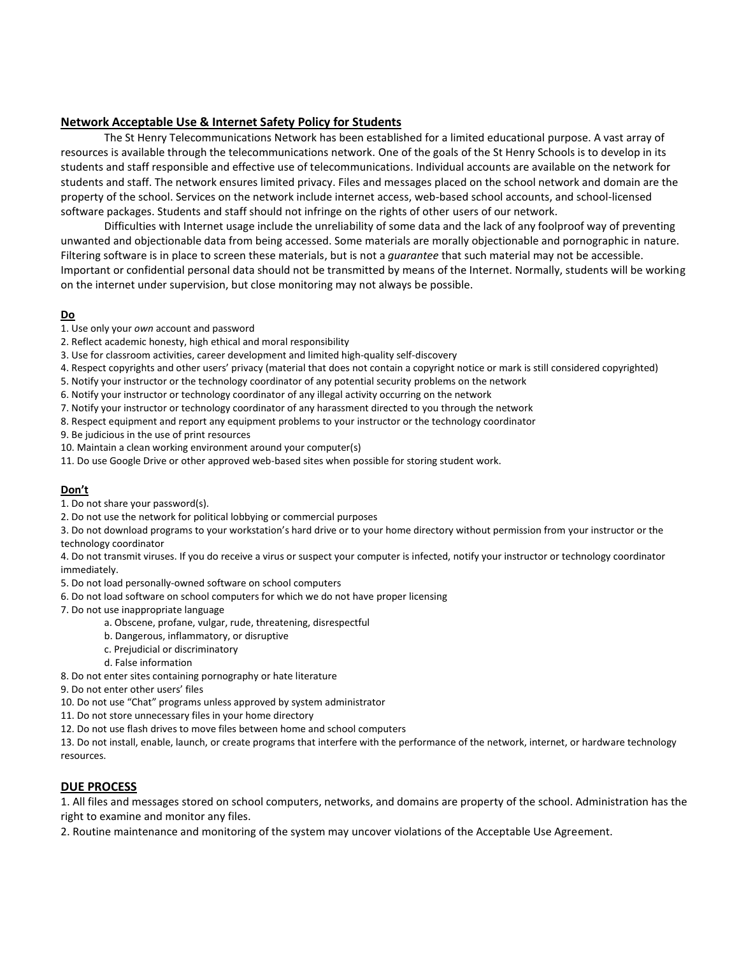# **Network Acceptable Use & Internet Safety Policy for Students**

The St Henry Telecommunications Network has been established for a limited educational purpose. A vast array of resources is available through the telecommunications network. One of the goals of the St Henry Schools is to develop in its students and staff responsible and effective use of telecommunications. Individual accounts are available on the network for students and staff. The network ensures limited privacy. Files and messages placed on the school network and domain are the property of the school. Services on the network include internet access, web-based school accounts, and school-licensed software packages. Students and staff should not infringe on the rights of other users of our network.

Difficulties with Internet usage include the unreliability of some data and the lack of any foolproof way of preventing unwanted and objectionable data from being accessed. Some materials are morally objectionable and pornographic in nature. Filtering software is in place to screen these materials, but is not a *guarantee* that such material may not be accessible. Important or confidential personal data should not be transmitted by means of the Internet. Normally, students will be working on the internet under supervision, but close monitoring may not always be possible.

#### **Do**

- 1. Use only your *own* account and password
- 2. Reflect academic honesty, high ethical and moral responsibility
- 3. Use for classroom activities, career development and limited high-quality self-discovery
- 4. Respect copyrights and other users' privacy (material that does not contain a copyright notice or mark is still considered copyrighted)
- 5. Notify your instructor or the technology coordinator of any potential security problems on the network
- 6. Notify your instructor or technology coordinator of any illegal activity occurring on the network
- 7. Notify your instructor or technology coordinator of any harassment directed to you through the network
- 8. Respect equipment and report any equipment problems to your instructor or the technology coordinator

9. Be judicious in the use of print resources

- 10. Maintain a clean working environment around your computer(s)
- 11. Do use Google Drive or other approved web-based sites when possible for storing student work.

# **Don't**

- 1. Do not share your password(s).
- 2. Do not use the network for political lobbying or commercial purposes

3. Do not download programs to your workstation's hard drive or to your home directory without permission from your instructor or the technology coordinator

4. Do not transmit viruses. If you do receive a virus or suspect your computer is infected, notify your instructor or technology coordinator immediately.

- 5. Do not load personally-owned software on school computers
- 6. Do not load software on school computers for which we do not have proper licensing
- 7. Do not use inappropriate language
	- a. Obscene, profane, vulgar, rude, threatening, disrespectful
	- b. Dangerous, inflammatory, or disruptive
	- c. Prejudicial or discriminatory
	- d. False information
- 8. Do not enter sites containing pornography or hate literature
- 9. Do not enter other users' files
- 10. Do not use "Chat" programs unless approved by system administrator
- 11. Do not store unnecessary files in your home directory
- 12. Do not use flash drives to move files between home and school computers

13. Do not install, enable, launch, or create programs that interfere with the performance of the network, internet, or hardware technology resources.

# **DUE PROCESS**

1. All files and messages stored on school computers, networks, and domains are property of the school. Administration has the right to examine and monitor any files.

2. Routine maintenance and monitoring of the system may uncover violations of the Acceptable Use Agreement.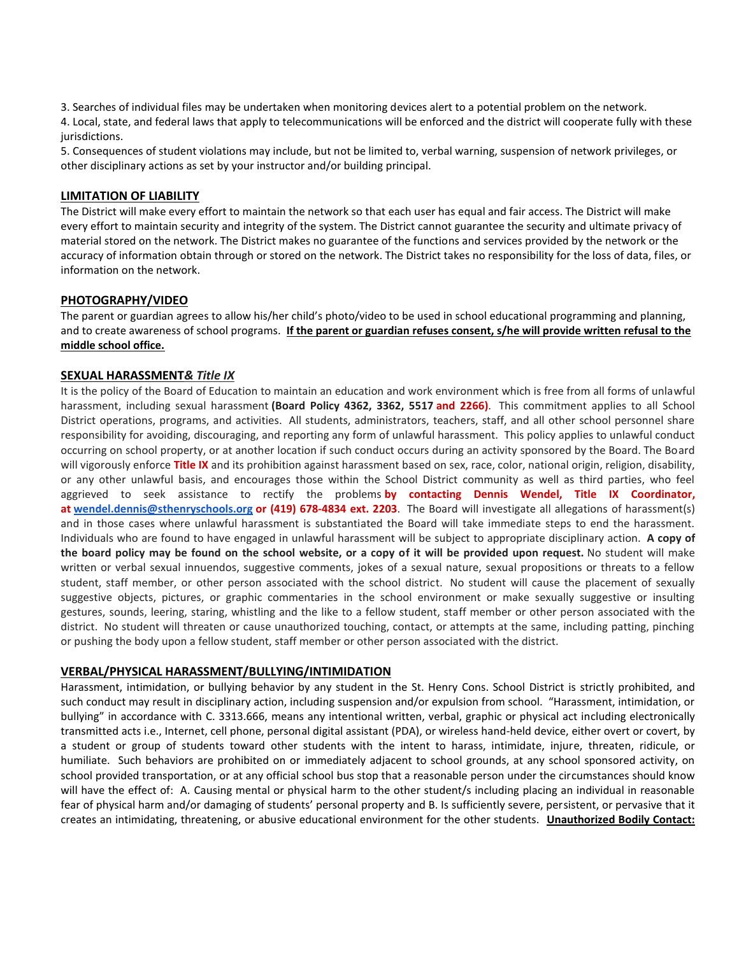3. Searches of individual files may be undertaken when monitoring devices alert to a potential problem on the network.

4. Local, state, and federal laws that apply to telecommunications will be enforced and the district will cooperate fully with these jurisdictions.

5. Consequences of student violations may include, but not be limited to, verbal warning, suspension of network privileges, or other disciplinary actions as set by your instructor and/or building principal.

#### **LIMITATION OF LIABILITY**

The District will make every effort to maintain the network so that each user has equal and fair access. The District will make every effort to maintain security and integrity of the system. The District cannot guarantee the security and ultimate privacy of material stored on the network. The District makes no guarantee of the functions and services provided by the network or the accuracy of information obtain through or stored on the network. The District takes no responsibility for the loss of data, files, or information on the network.

#### **PHOTOGRAPHY/VIDEO**

The parent or guardian agrees to allow his/her child's photo/video to be used in school educational programming and planning, and to create awareness of school programs. **If the parent or guardian refuses consent, s/he will provide written refusal to the middle school office.**

# **SEXUAL HARASSMENT***& Title IX*

It is the policy of the Board of Education to maintain an education and work environment which is free from all forms of unlawful harassment, including sexual harassment **(Board Policy 4362, 3362, 5517 and 2266)**. This commitment applies to all School District operations, programs, and activities. All students, administrators, teachers, staff, and all other school personnel share responsibility for avoiding, discouraging, and reporting any form of unlawful harassment. This policy applies to unlawful conduct occurring on school property, or at another location if such conduct occurs during an activity sponsored by the Board. The Board will vigorously enforce **Title IX** and its prohibition against harassment based on sex, race, color, national origin, religion, disability, or any other unlawful basis, and encourages those within the School District community as well as third parties, who feel aggrieved to seek assistance to rectify the problems **by contacting Dennis Wendel, Title IX Coordinator, at [wendel.dennis@sthenryschools.org](mailto:wendel.dennis@sthenryschools.org) or (419) 678-4834 ext. 2203**. The Board will investigate all allegations of harassment(s) and in those cases where unlawful harassment is substantiated the Board will take immediate steps to end the harassment. Individuals who are found to have engaged in unlawful harassment will be subject to appropriate disciplinary action. **A copy of the board policy may be found on the school website, or a copy of it will be provided upon request.** No student will make written or verbal sexual innuendos, suggestive comments, jokes of a sexual nature, sexual propositions or threats to a fellow student, staff member, or other person associated with the school district. No student will cause the placement of sexually suggestive objects, pictures, or graphic commentaries in the school environment or make sexually suggestive or insulting gestures, sounds, leering, staring, whistling and the like to a fellow student, staff member or other person associated with the district. No student will threaten or cause unauthorized touching, contact, or attempts at the same, including patting, pinching or pushing the body upon a fellow student, staff member or other person associated with the district.

#### **VERBAL/PHYSICAL HARASSMENT/BULLYING/INTIMIDATION**

Harassment, intimidation, or bullying behavior by any student in the St. Henry Cons. School District is strictly prohibited, and such conduct may result in disciplinary action, including suspension and/or expulsion from school. "Harassment, intimidation, or bullying" in accordance with C. 3313.666, means any intentional written, verbal, graphic or physical act including electronically transmitted acts i.e., Internet, cell phone, personal digital assistant (PDA), or wireless hand-held device, either overt or covert, by a student or group of students toward other students with the intent to harass, intimidate, injure, threaten, ridicule, or humiliate. Such behaviors are prohibited on or immediately adjacent to school grounds, at any school sponsored activity, on school provided transportation, or at any official school bus stop that a reasonable person under the circumstances should know will have the effect of: A. Causing mental or physical harm to the other student/s including placing an individual in reasonable fear of physical harm and/or damaging of students' personal property and B. Is sufficiently severe, persistent, or pervasive that it creates an intimidating, threatening, or abusive educational environment for the other students. **Unauthorized Bodily Contact:**